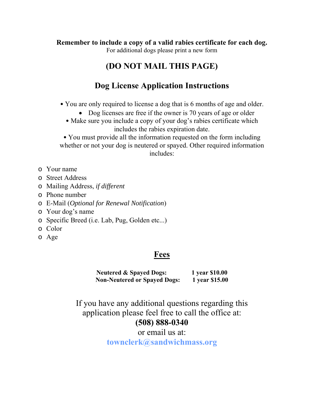**Remember to include a copy of a valid rabies certificate for each dog.** 

For additional dogs please print a new form

## **(DO NOT MAIL THIS PAGE)**

## **Dog License Application Instructions**

- You are only required to license a dog that is 6 months of age and older.
	- Dog licenses are free if the owner is 70 years of age or older
	- Make sure you include a copy of your dog's rabies certificate which includes the rabies expiration date.

• You must provide all the information requested on the form including whether or not your dog is neutered or spayed. Other required information includes:

- o Your name
- o Street Address
- o Mailing Address, *if different*
- o Phone number
- o E-Mail (*Optional for Renewal Notification*)
- o Your dog's name
- o Specific Breed (i.e. Lab, Pug, Golden etc...)
- o Color
- o Age

### **Fees**

**Neutered & Spayed Dogs: 1 year \$10.00 Non-Neutered or Spayed Dogs: 1 year \$15.00** 

If you have any additional questions regarding this application please feel free to call the office at: **(508) 888-0340** 

> or email us at: **townclerk@sandwichmass.org**